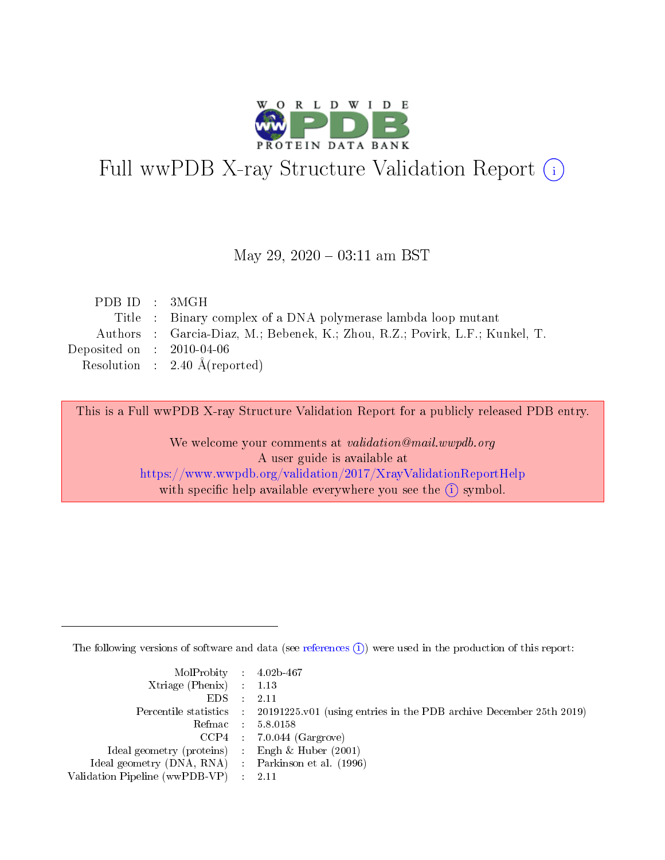

# Full wwPDB X-ray Structure Validation Report (i)

#### May 29,  $2020 - 03:11$  am BST

| PDB ID : 3MGH                                                                |
|------------------------------------------------------------------------------|
| Title : Binary complex of a DNA polymerase lambda loop mutant                |
| Authors : Garcia-Diaz, M.; Bebenek, K.; Zhou, R.Z.; Povirk, L.F.; Kunkel, T. |
| Deposited on : $2010-04-06$                                                  |
| Resolution : $2.40 \text{ Å}$ (reported)                                     |
|                                                                              |

This is a Full wwPDB X-ray Structure Validation Report for a publicly released PDB entry.

We welcome your comments at validation@mail.wwpdb.org A user guide is available at <https://www.wwpdb.org/validation/2017/XrayValidationReportHelp> with specific help available everywhere you see the  $(i)$  symbol.

The following versions of software and data (see [references](https://www.wwpdb.org/validation/2017/XrayValidationReportHelp#references)  $(i)$ ) were used in the production of this report:

| $MolProbability$ 4.02b-467                          |                                                                                            |
|-----------------------------------------------------|--------------------------------------------------------------------------------------------|
| Xtriage (Phenix) $: 1.13$                           |                                                                                            |
| $EDS$ :                                             | -2.11                                                                                      |
|                                                     | Percentile statistics : 20191225.v01 (using entries in the PDB archive December 25th 2019) |
|                                                     | Refmac : 5.8.0158                                                                          |
|                                                     | $CCP4$ : 7.0.044 (Gargrove)                                                                |
| Ideal geometry (proteins) : Engh $\&$ Huber (2001)  |                                                                                            |
| Ideal geometry (DNA, RNA) : Parkinson et al. (1996) |                                                                                            |
| Validation Pipeline (wwPDB-VP)                      | -2.11                                                                                      |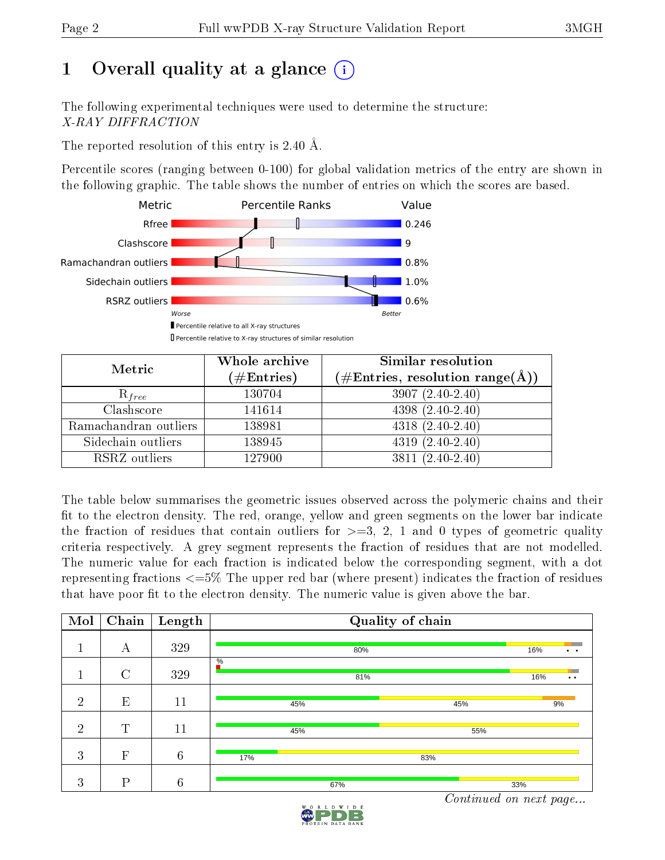# 1 [O](https://www.wwpdb.org/validation/2017/XrayValidationReportHelp#overall_quality)verall quality at a glance  $(i)$

The following experimental techniques were used to determine the structure: X-RAY DIFFRACTION

The reported resolution of this entry is 2.40 Å.

Percentile scores (ranging between 0-100) for global validation metrics of the entry are shown in the following graphic. The table shows the number of entries on which the scores are based.



| Metric                | Whole archive<br>$(\#\text{Entries})$ | Similar resolution<br>$(\#\text{Entries}, \text{resolution range}(\textup{\AA}))$ |  |  |
|-----------------------|---------------------------------------|-----------------------------------------------------------------------------------|--|--|
| $R_{free}$            | 130704                                | $3907(2.40-2.40)$                                                                 |  |  |
| Clashscore            | 141614                                | $4398(2.40-2.40)$                                                                 |  |  |
| Ramachandran outliers | 138981                                | $4318(2.40-2.40)$                                                                 |  |  |
| Sidechain outliers    | 138945                                | $4319(2.40-2.40)$                                                                 |  |  |
| RSRZ outliers         | 127900                                | $3811(2.40-2.40)$                                                                 |  |  |

The table below summarises the geometric issues observed across the polymeric chains and their fit to the electron density. The red, orange, yellow and green segments on the lower bar indicate the fraction of residues that contain outliers for  $>=3, 2, 1$  and 0 types of geometric quality criteria respectively. A grey segment represents the fraction of residues that are not modelled. The numeric value for each fraction is indicated below the corresponding segment, with a dot representing fractions  $\epsilon=5\%$  The upper red bar (where present) indicates the fraction of residues that have poor fit to the electron density. The numeric value is given above the bar.

| Mol            | Chain         | Length          |                      | Quality of chain |                             |  |  |  |  |  |  |  |
|----------------|---------------|-----------------|----------------------|------------------|-----------------------------|--|--|--|--|--|--|--|
|                | А             | 329             | 80%                  |                  | 16%<br>$\ddot{\phantom{0}}$ |  |  |  |  |  |  |  |
|                | $\mathcal{C}$ | 329             | $\frac{0}{6}$<br>81% |                  | 16%<br>$\bullet\bullet$     |  |  |  |  |  |  |  |
| $\overline{2}$ | E             | 11              | 45%                  | 45%              | 9%                          |  |  |  |  |  |  |  |
| $\overline{2}$ | $\mathbf T$   | 11              | 45%                  | 55%              |                             |  |  |  |  |  |  |  |
| 3              | $\mathbf{F}$  | $6\phantom{.}6$ | 17%                  | 83%              |                             |  |  |  |  |  |  |  |
| 3              | D             | $6\phantom{.}6$ | 67%                  |                  | 33%                         |  |  |  |  |  |  |  |

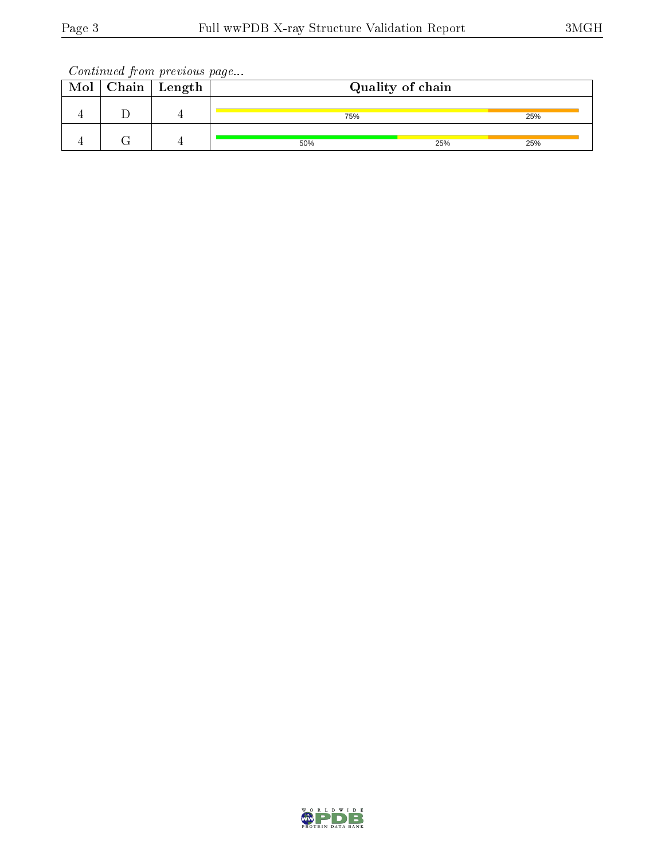Continued from previous page...

| Mol | $\vert$ Chain $\vert$ Length | Quality of chain |     |     |  |  |  |  |  |
|-----|------------------------------|------------------|-----|-----|--|--|--|--|--|
|     |                              | 75%              |     | 25% |  |  |  |  |  |
|     |                              | 50%              | 25% | 25% |  |  |  |  |  |

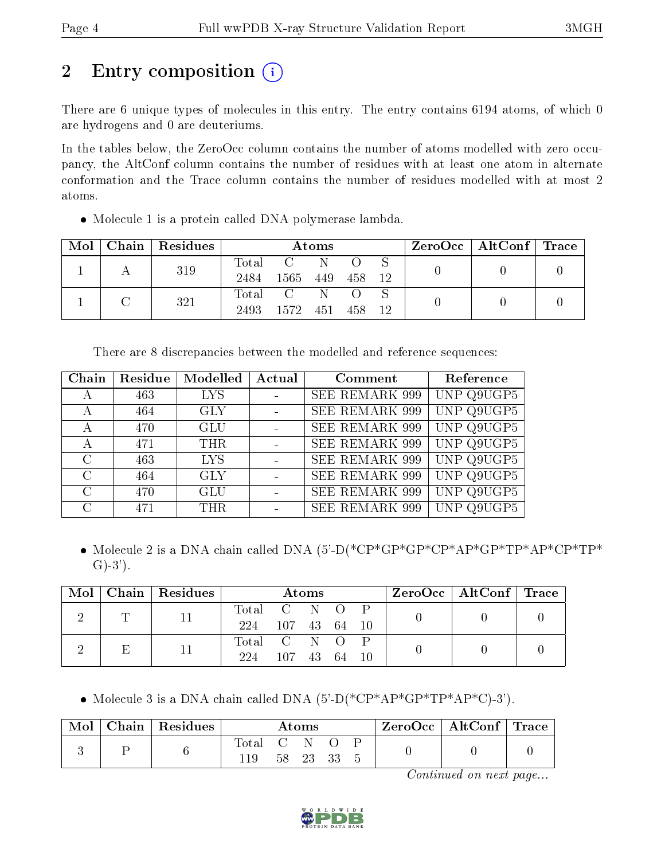# 2 Entry composition  $\left( \cdot \right)$

There are 6 unique types of molecules in this entry. The entry contains 6194 atoms, of which 0 are hydrogens and 0 are deuteriums.

In the tables below, the ZeroOcc column contains the number of atoms modelled with zero occupancy, the AltConf column contains the number of residues with at least one atom in alternate conformation and the Trace column contains the number of residues modelled with at most 2 atoms.

Molecule 1 is a protein called DNA polymerase lambda.

| Mol | Chain   Residues |                          |      | Atoms |     |    | $\rm ZeroOcc \mid AltConf \mid Trace$ |  |
|-----|------------------|--------------------------|------|-------|-----|----|---------------------------------------|--|
|     | 319              | $\rm Total$<br>2484      | 1565 | 449   | 458 | 12 |                                       |  |
|     | 321              | $\mathrm{Total}$<br>2493 | 1572 | 451   | 458 | 12 |                                       |  |

There are 8 discrepancies between the modelled and reference sequences:

| Chain         | Residue | Modelled   | Actual | Comment               | Reference  |
|---------------|---------|------------|--------|-----------------------|------------|
| А             | 463     | <b>LYS</b> |        | <b>SEE REMARK 999</b> | UNP Q9UGP5 |
| А             | 464     | <b>GLY</b> |        | <b>SEE REMARK 999</b> | UNP Q9UGP5 |
| А             | 470     | <b>GLU</b> |        | <b>SEE REMARK 999</b> | UNP Q9UGP5 |
| А             | 471     | <b>THR</b> |        | <b>SEE REMARK 999</b> | UNP Q9UGP5 |
| $\mathcal{C}$ | 463     | <b>LYS</b> |        | <b>SEE REMARK 999</b> | UNP Q9UGP5 |
| $\mathcal{C}$ | 464     | <b>GLY</b> |        | <b>SEE REMARK 999</b> | UNP Q9UGP5 |
| $\mathcal{C}$ | 470     | <b>GLU</b> |        | <b>SEE REMARK 999</b> | UNP Q9UGP5 |
| $\cap$        | 471     | <b>THR</b> |        | <b>SEE REMARK 999</b> | UNP Q9UGP5 |

• Molecule 2 is a DNA chain called DNA (5'-D(\*CP\*GP\*GP\*CP\*AP\*GP\*TP\*AP\*CP\*TP\*  $\text{G}$ )-3').

| $\blacksquare$ Mol $\blacksquare$ |   | Chain   Residues |              |        | Atoms |  |  | ZeroOcc   AltConf   Trace |  |
|-----------------------------------|---|------------------|--------------|--------|-------|--|--|---------------------------|--|
|                                   | m |                  | Total C N O  |        |       |  |  |                           |  |
|                                   |   | 224              | 107 43 64 10 |        |       |  |  |                           |  |
|                                   | Ε |                  | Total C N O  |        |       |  |  |                           |  |
|                                   |   |                  | 224          | 107 43 |       |  |  |                           |  |

• Molecule 3 is a DNA chain called DNA  $(5'-D(*CP*AP*GP*TP*AP*C)-3')$ .

| Mol | Chain   Residues | $\rm{Atoms}$        |  |          |  |  | $\text{ZeroOcc} \mid \text{AltConf} \mid \text{Trace}$ |  |
|-----|------------------|---------------------|--|----------|--|--|--------------------------------------------------------|--|
|     |                  | Total C N O<br>119. |  | 58 23 33 |  |  |                                                        |  |

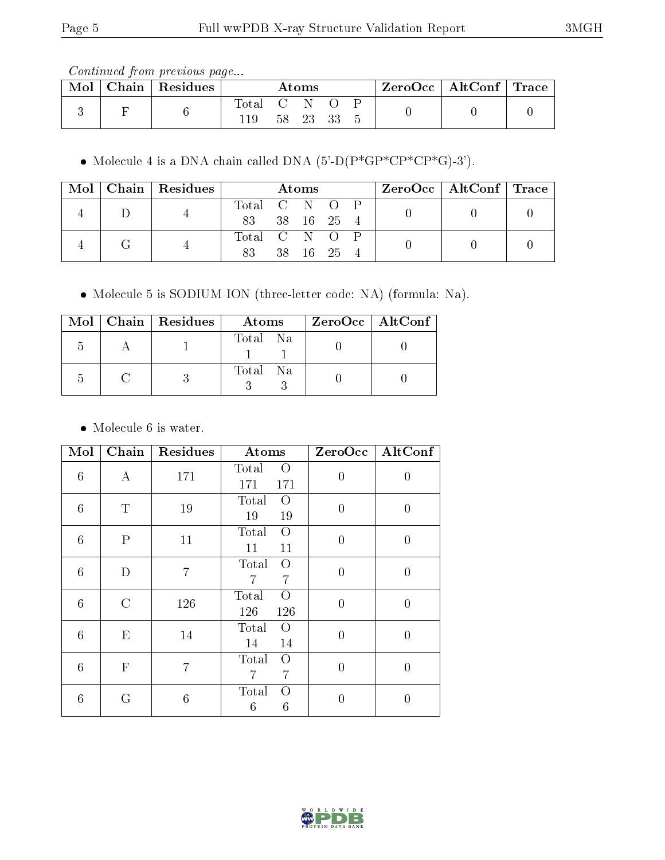Continued from previous page...

| Mol | Chain   Residues | $\rm\bf Atoms$ |     |       |  |  | $\text{ZeroOcc} \mid \text{AltConf} \mid \text{Trace}$ |  |
|-----|------------------|----------------|-----|-------|--|--|--------------------------------------------------------|--|
|     |                  | Total<br>119   | 58. | 23 33 |  |  |                                                        |  |

• Molecule 4 is a DNA chain called DNA  $(5'-D(P*GP*CP*CP*G)-3')$ .

|  |  | $\text{Mol}$   Chain   Residues |               | <b>Atoms</b> |  |  |  |  | ZeroOcc   AltConf   Trace |  |
|--|--|---------------------------------|---------------|--------------|--|--|--|--|---------------------------|--|
|  |  |                                 | Total C N O P |              |  |  |  |  |                           |  |
|  |  | 83 38 16 25 4                   |               |              |  |  |  |  |                           |  |
|  |  |                                 | Total C N O P |              |  |  |  |  |                           |  |
|  |  | 83 38 16 25 4                   |               |              |  |  |  |  |                           |  |

Molecule 5 is SODIUM ION (three-letter code: NA) (formula: Na).

|  | Mol   Chain   Residues | Atoms    | $ZeroOcc \   \ AltConf \  $ |
|--|------------------------|----------|-----------------------------|
|  |                        | Total Na |                             |
|  |                        | Total Na |                             |

• Molecule 6 is water.

| Mol             | Chain            | Residues       | Atoms                                 |                | $ZeroOcc \mid AltConf \mid$ |
|-----------------|------------------|----------------|---------------------------------------|----------------|-----------------------------|
| 6               | $\boldsymbol{A}$ | 171            | Total<br>$\overline{O}$<br>171<br>171 | $\overline{0}$ | $\boldsymbol{0}$            |
| 6               | $\mathbf T$      | 19             | Total<br>$\Omega$<br>19<br>19         | $\overline{0}$ | $\overline{0}$              |
| 6               | $\mathbf{P}$     | 11             | Total<br>$\overline{O}$<br>11<br>11   | $\overline{0}$ | 0                           |
| 6               | D                | $\overline{7}$ | $\overline{O}$<br>Total<br>7<br>7     | $\overline{0}$ | $\overline{0}$              |
| $6\phantom{.}6$ | $\mathcal{C}$    | 126            | Total<br>$\Omega$<br>126<br>126       | $\overline{0}$ | $\overline{0}$              |
| 6               | E                | 14             | Total<br>$\Omega$<br>14<br>14         | $\overline{0}$ | $\overline{0}$              |
| $6\phantom{.}6$ | $\mathbf F$      | $\overline{7}$ | Total<br>$\overline{O}$<br>7<br>7     | $\overline{0}$ | $\overline{0}$              |
| 6               | G                | $\sqrt{6}$     | Total<br>Ω<br>6<br>6                  | $\overline{0}$ | $\overline{0}$              |

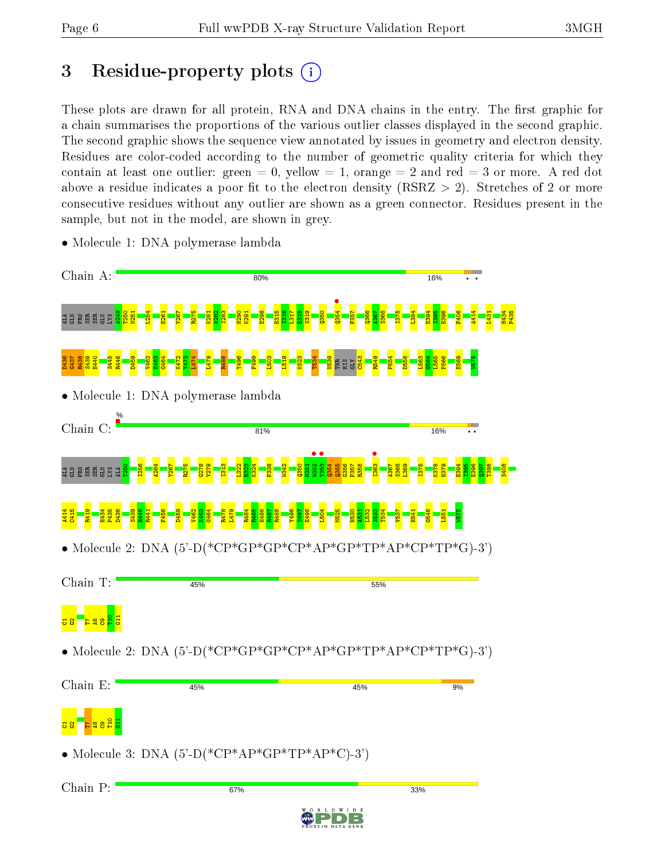## 3 Residue-property plots  $(i)$

These plots are drawn for all protein, RNA and DNA chains in the entry. The first graphic for a chain summarises the proportions of the various outlier classes displayed in the second graphic. The second graphic shows the sequence view annotated by issues in geometry and electron density. Residues are color-coded according to the number of geometric quality criteria for which they contain at least one outlier: green  $= 0$ , yellow  $= 1$ , orange  $= 2$  and red  $= 3$  or more. A red dot above a residue indicates a poor fit to the electron density (RSRZ  $> 2$ ). Stretches of 2 or more consecutive residues without any outlier are shown as a green connector. Residues present in the sample, but not in the model, are shown in grey.



• Molecule 1: DNA polymerase lambda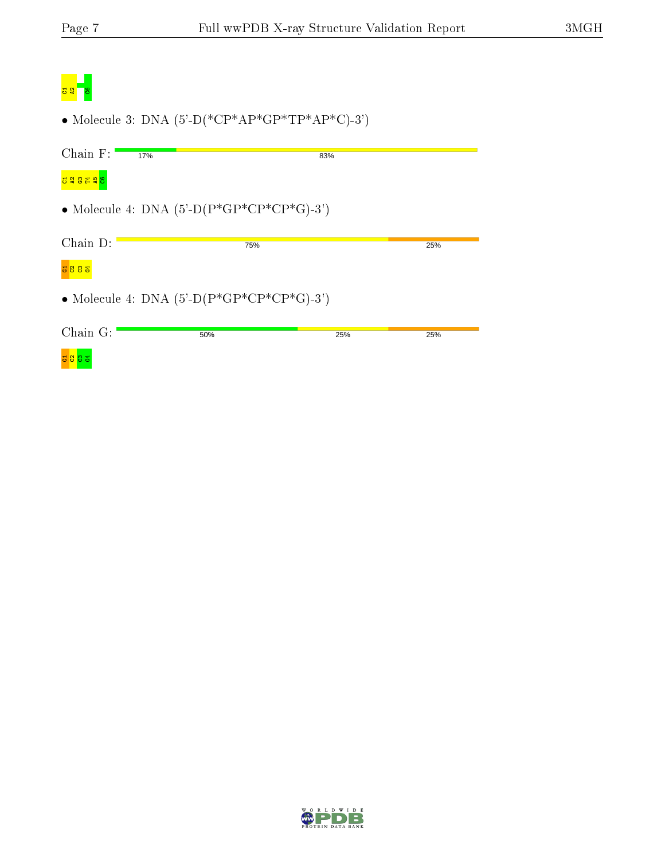| <b>Service Service</b> |  |
|------------------------|--|

• Molecule 3: DNA  $(5'-D(*\text{CP*AP*GP*TP*AP*C})-3')$ 

| Chain $F:$            | 17%                                                        | 83% |     |
|-----------------------|------------------------------------------------------------|-----|-----|
| <mark>공일않법 발</mark> 용 |                                                            |     |     |
|                       | • Molecule 4: DNA $(5^{\circ}$ -D $(P*GP*CP*CP*GP*G)$ -3') |     |     |
|                       |                                                            |     |     |
| $Chain D$ :           | 75%                                                        |     | 25% |
|                       |                                                            |     |     |
|                       | • Molecule 4: DNA $(5'-D(P*GP*CP*CP*G)-3')$                |     |     |
|                       |                                                            |     |     |
| Chain $G$ :           | 50%                                                        | 25% | 25% |
| <mark>급 암 양</mark> ვ  |                                                            |     |     |

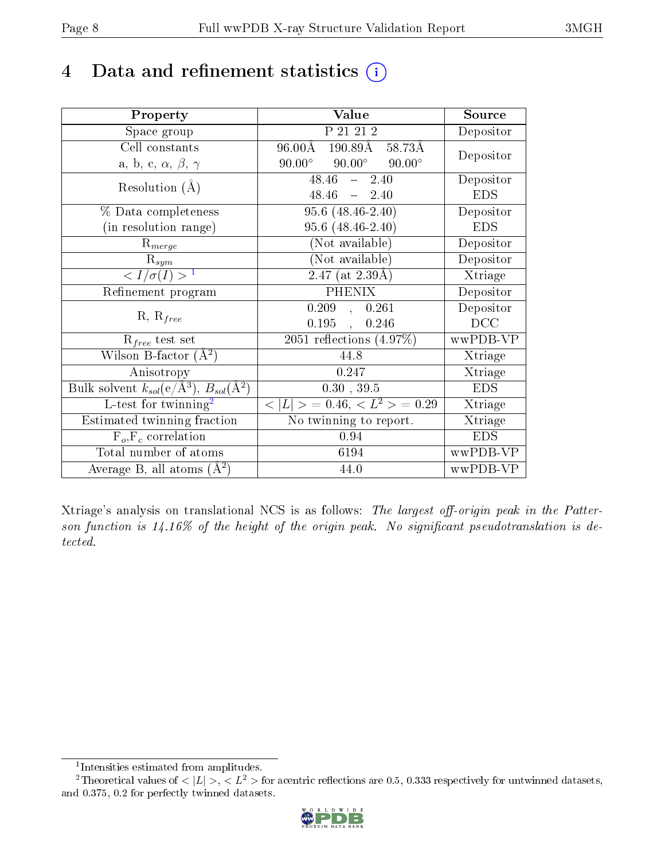## 4 Data and refinement statistics  $(i)$

| Property                                                                | Value                                              | Source     |
|-------------------------------------------------------------------------|----------------------------------------------------|------------|
| Space group                                                             | P 21 21 2                                          | Depositor  |
| Cell constants                                                          | 190.89Å 58.73Å<br>$96.00\text{\AA}$                | Depositor  |
| a, b, c, $\alpha$ , $\beta$ , $\gamma$                                  | $90.00^{\circ}$<br>$90.00^{\circ}$ $90.00^{\circ}$ |            |
| Resolution $(A)$                                                        | $48.46 - 2.40$                                     | Depositor  |
|                                                                         | $48.46 - 2.40$                                     | <b>EDS</b> |
| % Data completeness                                                     | $95.6(48.46-2.40)$                                 | Depositor  |
| (in resolution range)                                                   | 95.6 (48.46-2.40)                                  | <b>EDS</b> |
| $R_{merge}$                                                             | (Not available)                                    | Depositor  |
| $\mathrm{R}_{sym}$                                                      | (Not available)                                    | Depositor  |
| $\langle I/\sigma(I) \rangle^{-1}$                                      | $2.47$ (at $2.39\text{\AA}$ )                      | Xtriage    |
| Refinement program                                                      | <b>PHENIX</b>                                      | Depositor  |
| $R, R_{free}$                                                           | 0.209, 0.261                                       | Depositor  |
|                                                                         | 0.195,<br>0.246                                    | DCC        |
| $\mathcal{R}_{free}$ test set                                           | $\overline{2051}$ reflections $(4.97\%)$           | wwPDB-VP   |
| Wilson B-factor $(A^2)$                                                 | 44.8                                               | Xtriage    |
| Anisotropy                                                              | 0.247                                              | Xtriage    |
| Bulk solvent $k_{sol}(\mathrm{e}/\mathrm{A}^3),\,B_{sol}(\mathrm{A}^2)$ | 0.30, 39.5                                         | <b>EDS</b> |
| L-test for twinning <sup>2</sup>                                        | $< L >$ = 0.46, $< L^2 >$ = 0.29                   | Xtriage    |
| Estimated twinning fraction                                             | No twinning to report.                             | Xtriage    |
| $F_o, F_c$ correlation                                                  | 0.94                                               | <b>EDS</b> |
| Total number of atoms                                                   | 6194                                               | wwPDB-VP   |
| Average B, all atoms $(A^2)$                                            | 44.0                                               | wwPDB-VP   |

Xtriage's analysis on translational NCS is as follows: The largest off-origin peak in the Patterson function is  $14.16\%$  of the height of the origin peak. No significant pseudotranslation is detected.

<sup>&</sup>lt;sup>2</sup>Theoretical values of  $\langle |L| \rangle$ ,  $\langle L^2 \rangle$  for acentric reflections are 0.5, 0.333 respectively for untwinned datasets, and 0.375, 0.2 for perfectly twinned datasets.



<span id="page-7-1"></span><span id="page-7-0"></span><sup>1</sup> Intensities estimated from amplitudes.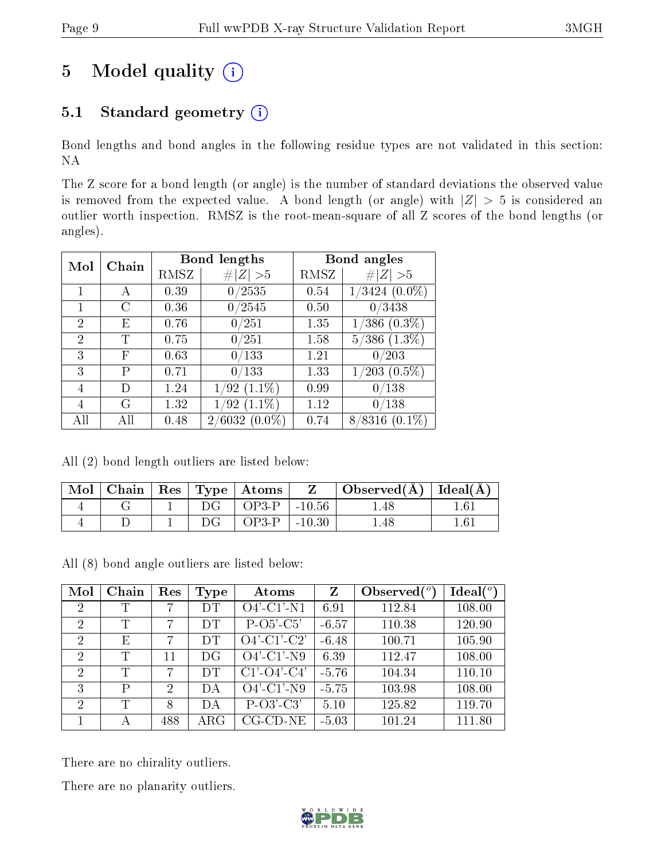# 5 Model quality  $(i)$

## 5.1 Standard geometry  $(i)$

Bond lengths and bond angles in the following residue types are not validated in this section: NA

The Z score for a bond length (or angle) is the number of standard deviations the observed value is removed from the expected value. A bond length (or angle) with  $|Z| > 5$  is considered an outlier worth inspection. RMSZ is the root-mean-square of all Z scores of the bond lengths (or angles).

| Chain<br>Mol |   |      | <b>Bond lengths</b> | Bond angles |                                   |
|--------------|---|------|---------------------|-------------|-----------------------------------|
|              |   | RMSZ | Z  > 5              | RMSZ        | Z  > 5                            |
|              | А | 0.39 | 0/2535              | 0.54        | $1/3424~(0.0\%)$                  |
|              |   | 0.36 | 0/2545              | 0.50        | 0/3438                            |
| 2            | E | 0.76 | 0/251               | 1.35        | $(0.3\%)$<br>$^\prime 386$        |
| 2            | T | 0.75 | 0/251               | 1.58        | $\overline{5/386}(1.3\%)$         |
| 3            | F | 0.63 | 0/133               | 1.21        | 0/203                             |
| 3            | Ρ | 0.71 | 0/133               | 1.33        | $(0.5\%)$<br>$^\prime203$ .       |
| 4            | Ð | 1.24 | $(1.1\%)$<br>1/92   | 0.99        | $^{\prime}138$<br>$\sim 0$        |
| 4            | G | 1.32 | $(1.1\%)$<br>'92    | 1.12        | $^{\prime}138$<br>$\overline{0}$  |
|              |   | 0.48 | 2/6032<br>$(0.0\%)$ | 0.74        | $(0.1\%)$<br>$^{\prime}8316$<br>8 |

All (2) bond length outliers are listed below:

| $\operatorname{Mol}$ |  |    | $\mid$ Chain $\mid$ Res $\mid$ Type $\mid$ Atoms | $\mathbf{Z}$ | Observed( $\AA$ )   Ideal( $\AA$ ) |     |
|----------------------|--|----|--------------------------------------------------|--------------|------------------------------------|-----|
|                      |  | DG | $OP3-P$                                          | $-10.56$     | .48                                |     |
|                      |  | DG | $OP3-P$                                          | $-10.30$     | .48                                | .61 |

All (8) bond angle outliers are listed below:

| Mol            | Chain | Res            | <b>Type</b> | Atoms                    | $\mathbf{Z}$ | Observed $\binom{o}{c}$ | Ideal $(°)$ |
|----------------|-------|----------------|-------------|--------------------------|--------------|-------------------------|-------------|
| $\overline{2}$ | Τ     | 7              | DT          | $O4'$ -C1'-N1            | 6.91         | 112.84                  | 108.00      |
| $\overline{2}$ | T     | 7              | DT          | $P-O5'-C5'$              | $-6.57$      | 110.38                  | 120.90      |
| $\overline{2}$ | Ε     | 7              | DT          | $O4'-C1'-C2'$            | $-6.48$      | 100.71                  | 105.90      |
| $\overline{2}$ | Τ     | 11             | DG          | $\overline{O4'}$ -C1'-N9 | 6.39         | 112.47                  | 108.00      |
| $\overline{2}$ | T     | 7              | DT          | $C1'$ - $O4'$ - $C4'$    | $-5.76$      | 104.34                  | 110.10      |
| 3              | P     | $\overline{2}$ | DА          | $O4'$ -C1'-N9            | $-5.75$      | 103.98                  | 108.00      |
| $\overline{2}$ | Τ     | 8              | DА          | $P-O3'-C3'$              | 5.10         | 125.82                  | 119.70      |
|                |       | 488            | $\rm{ARG}$  | $CG$ - $CD$ - $NE$       | $-5.03$      | 101.24                  | 111.80      |

There are no chirality outliers.

There are no planarity outliers.

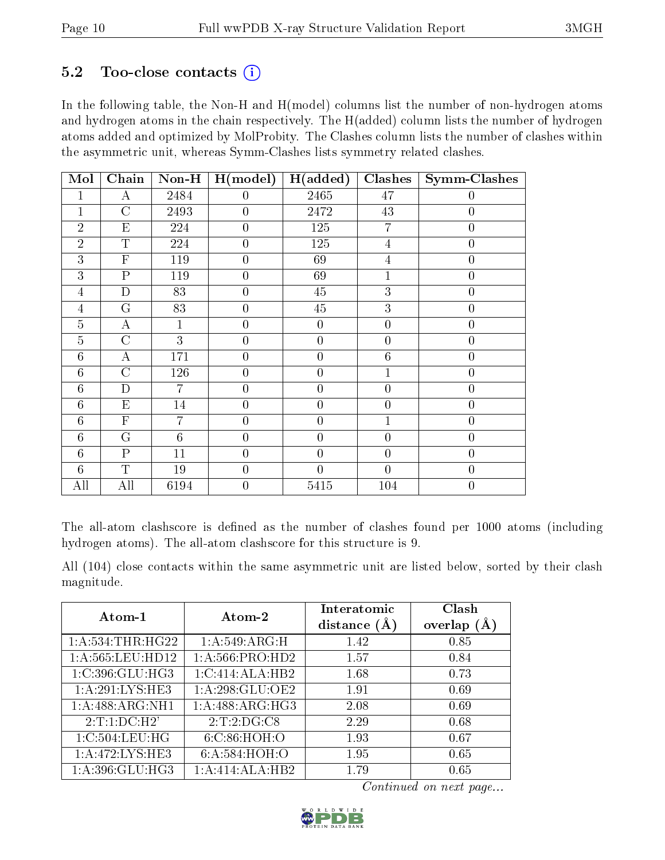### $5.2$  Too-close contacts  $(i)$

In the following table, the Non-H and H(model) columns list the number of non-hydrogen atoms and hydrogen atoms in the chain respectively. The H(added) column lists the number of hydrogen atoms added and optimized by MolProbity. The Clashes column lists the number of clashes within the asymmetric unit, whereas Symm-Clashes lists symmetry related clashes.

| Mol            | Chain                   | $Non-H$        | H (model)      | H(added)         | Clashes          | Symm-Clashes     |
|----------------|-------------------------|----------------|----------------|------------------|------------------|------------------|
| 1              | A                       | 2484           | $\overline{0}$ | 2465             | 47               | $\overline{0}$   |
| $\mathbf 1$    | $\overline{C}$          | 2493           | $\overline{0}$ | 2472             | $43\,$           | $\boldsymbol{0}$ |
| $\overline{2}$ | E                       | 224            | $\overline{0}$ | 125              | $\overline{7}$   | $\overline{0}$   |
| $\overline{2}$ | $\mathbf T$             | 224            | $\overline{0}$ | 125              | $\overline{4}$   | $\overline{0}$   |
| 3              | $\mathbf F$             | 119            | $\overline{0}$ | 69               | $\overline{4}$   | $\overline{0}$   |
| 3              | $\overline{\mathrm{P}}$ | 119            | $\overline{0}$ | 69               | $\mathbf 1$      | $\overline{0}$   |
| $\overline{4}$ | $\mathbf D$             | 83             | $\overline{0}$ | 45               | $\overline{3}$   | $\overline{0}$   |
| $\overline{4}$ | $\overline{G}$          | 83             | $\overline{0}$ | $\overline{45}$  | $\overline{3}$   | $\overline{0}$   |
| $\overline{5}$ | $\bf{A}$                | 1              | $\overline{0}$ | $\boldsymbol{0}$ | $\overline{0}$   | $\boldsymbol{0}$ |
| $\overline{5}$ | $\overline{C}$          | 3              | $\overline{0}$ | $\boldsymbol{0}$ | $\overline{0}$   | $\boldsymbol{0}$ |
| 6              | А                       | 171            | $\overline{0}$ | $\overline{0}$   | $\sqrt{6}$       | $\overline{0}$   |
| 6              | $\mathcal{C}$           | 126            | $\overline{0}$ | $\boldsymbol{0}$ | $\mathbf{1}$     | $\overline{0}$   |
| $\overline{6}$ | D                       | $\overline{7}$ | $\overline{0}$ | $\overline{0}$   | $\overline{0}$   | $\overline{0}$   |
| 6              | E                       | 14             | $\overline{0}$ | $\boldsymbol{0}$ | $\overline{0}$   | $\overline{0}$   |
| 6              | $\mathbf{F}$            | 7              | $\overline{0}$ | $\overline{0}$   | $\mathbf{1}$     | $\overline{0}$   |
| 6              | G                       | 6              | $\overline{0}$ | $\overline{0}$   | $\overline{0}$   | $\boldsymbol{0}$ |
| 6              | $\mathbf{P}$            | 11             | $\overline{0}$ | $\boldsymbol{0}$ | $\boldsymbol{0}$ | $\overline{0}$   |
| 6              | T                       | 19             | $\overline{0}$ | $\overline{0}$   | $\overline{0}$   | $\overline{0}$   |
| All            | All                     | 6194           | $\overline{0}$ | 5415             | 104              | $\boldsymbol{0}$ |

The all-atom clashscore is defined as the number of clashes found per 1000 atoms (including hydrogen atoms). The all-atom clashscore for this structure is 9.

All (104) close contacts within the same asymmetric unit are listed below, sorted by their clash magnitude.

| Atom-1              | Atom-2            | Interatomic    | Clash         |
|---------------------|-------------------|----------------|---------------|
|                     |                   | distance $(A)$ | overlap $(A)$ |
| 1: A: 534:THR: HG22 | 1:A:549:ARG:H     | 1.42           | 0.85          |
| 1: A:565:LEU:HD12   | 1: A:566: PRO:HD2 | 1.57           | 0.84          |
| 1:C:396:GLU:HG3     | 1:C:414:ALA:HB2   | 1.68           | 0.73          |
| 1: A:291:LYS:HE3    | 1: A:298: GLU:OE2 | 1.91           | 0.69          |
| 1:A:488:ARG:NH1     | 1:A:488:ARG:HG3   | 2.08           | 0.69          |
| 2:T:1:D C:H2'       | 2:T:2:DG:CS       | 2.29           | 0.68          |
| 1:C:504:LEU:HG      | 6:C:86:HOH:O      | 1.93           | 0.67          |
| 1:A:472:LYS:HE3     | 6:A:584:HOH:O     | 1.95           | 0.65          |
| 1:A:396:GLU:HG3     | 1:A:414:ALA:HB2   | 1.79           | 0.65          |

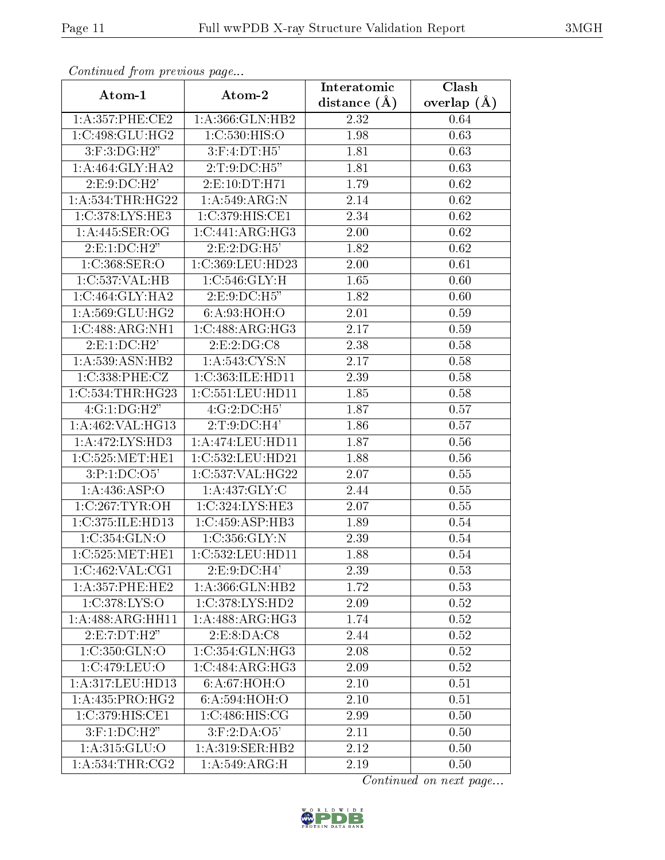| Communa from previous page |                              | Interatomic    | Clash         |
|----------------------------|------------------------------|----------------|---------------|
| Atom-1                     | Atom-2                       | distance $(A)$ | overlap $(A)$ |
| 1: A:357:PHE:CE2           | 1:A:366:GLN:HB2              | 2.32           | 0.64          |
| 1:C:498:GLU:HG2            | 1:C:530:HIS:O                | 1.98           | 0.63          |
| $3:$ F:3:DG:H2"            | $3:$ F:4:DT:H5'              | 1.81           | 0.63          |
| 1: A:464: GLY:HA2          | 2:T:9:DC:H5"                 | 1.81           | 0.63          |
| 2: E: 9: DC: H2'           | 2:E:10:DT:H71                | 1.79           | 0.62          |
| 1: A: 534: THR: HG22       | 1:A:549:ARG:N                | 2.14           | 0.62          |
| 1:C:378:LYS:HE3            | 1:C:379:HIS:CE1              | 2.34           | 0.62          |
| 1:A:445:SER:OG             | 1:C:441:ARG:HG3              | 2.00           | 0.62          |
| 2:E:1:DC:H2"               | 2:E:2:DG:H5'                 | 1.82           | 0.62          |
| 1:C:368:SER:O              | 1:C:369:LEU:HD23             | 2.00           | 0.61          |
| 1:C:537:VAL:HB             | 1:C:546:GLY:H                | 1.65           | 0.60          |
| 1:C:464:GLY:HA2            | 2:E:9:DC:H5"                 | 1.82           | 0.60          |
| 1:A:569:GLU:HG2            | 6: A:93: HOH:O               | 2.01           | 0.59          |
| 1:C:488:ARG:NH1            | $1:C:\overline{488:ARG:HG3}$ | 2.17           | 0.59          |
| 2: E: 1: DC: H2'           | 2:E:2:DG:CS                  | 2.38           | 0.58          |
| 1: A: 539: ASN: HB2        | 1: A:543: CYS:N              | 2.17           | 0.58          |
| 1:C:338:PHE:CZ             | 1:C:363:ILE:HD11             | 2.39           | 0.58          |
| 1:C:534:THR:HG23           | 1:C:551:LEU:HD11             | 1.85           | 0.58          |
| 4:G:1:DG:H2"               | 4:G:2:DC:H5'                 | 1.87           | 0.57          |
| 1:A:462:VAL:HG13           | 2:T:9:DC:H4'                 | 1.86           | 0.57          |
| 1:A:472:LYS:HD3            | 1:A:474:LEU:HD11             | 1.87           | 0.56          |
| 1:C:525:MET:HE1            | 1:C:532:LEU:HD21             | 1.88           | 0.56          |
| 3:P:1:DC:O5'               | 1:C:537:VAL:HG22             | 2.07           | 0.55          |
| 1:A:436:ASP:O              | 1: A: 437: GLY: C            | 2.44           | 0.55          |
| 1:C:267:TYR:OH             | 1:C:324:LYS:HE3              | 2.07           | 0.55          |
| 1:C:375:ILE:HD13           | 1:C:459:ASP:HB3              | 1.89           | 0.54          |
| 1:C:354:GLN:O              | 1:C:356:GLY:N                | 2.39           | 0.54          |
| 1:C:525:MET:HE1            | 1:C:532:LEU:HD11             | 1.88           | 0.54          |
| 1:C:462:VAL:CG1            | 2:E:9:DC:H4'                 | 2.39           | 0.53          |
| 1:A:357:PHE:HE2            | 1:A:366:GLN:HB2              | 1.72           | 0.53          |
| 1:C:378:LYS:O              | 1:C:378:LYS:HD2              | 2.09           | 0.52          |
| 1:A:488:ARG:HH11           | 1:A:488:ARG:HG3              | 1.74           | 0.52          |
| $2:E:7:DT:\overline{H2"}$  | 2: E: 8: DA: C8              | 2.44           | 0.52          |
| 1:C:350:GLN:O              | 1:C:354:GLN:HG3              | 2.08           | 0.52          |
| 1:C:479:LEU:O              | 1:C:484:ARG:HG3              | 2.09           | 0.52          |
| 1:A:317:LEU:HD13           | 6: A:67: HOH:O               | 2.10           | 0.51          |
| 1: A: 435: PRO:HG2         | 6:A:594:HOH:O                | 2.10           | 0.51          |
| 1:C:379:HIS:CE1            | 1:C:486:HIS:CG               | 2.99           | 0.50          |
| $3:$ F:1:DC:H2"            | $3:$ F:2:DA:O5'              | 2.11           | 0.50          |
| 1:A:315:GLU:O              | 1:A:319:SER:HB2              | 2.12           | 0.50          |
| 1: A:534:THR:CG2           | 1: A:549: ARG:H              | 2.19           | 0.50          |

Continued from previous page.

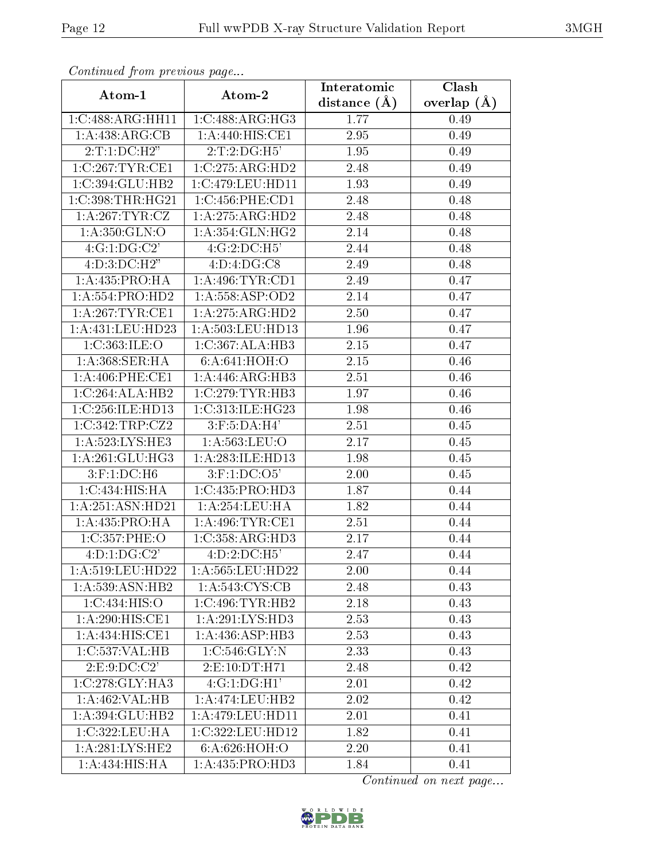| Commaca jioni previvus page |                           | Interatomic       | Clash           |
|-----------------------------|---------------------------|-------------------|-----------------|
| Atom-1                      | Atom-2                    | distance $(\AA)$  | overlap $(\AA)$ |
| 1:C:488:ARG:HH11            | 1:C:488:ARG:HG3           | 1.77              | 0.49            |
| 1: A:438:ARG:CB             | 1:A:440:HIS:CE1           | 2.95              | 0.49            |
| 2:T:1:D C:H2"               | 2:T:2:DG:H5'              | 1.95              | 0.49            |
| 1:C:267:TYR:CE1             | 1:C:275:ARG:HD2           | 2.48              | 0.49            |
| 1:C:394:GLU:HB2             | 1:C:479:LEU:HD11          | 1.93              | 0.49            |
| 1:C:398:THR:HG21            | 1:C:456:PHE:CD1           | 2.48              | 0.48            |
| 1: A:267:TYR:CZ             | 1:A:275:ARG:HD2           | 2.48              | 0.48            |
| 1:A:350:GLN:O               | 1: A:354: GLN: HG2        | 2.14              | 0.48            |
| 4:G:1:DG:C2'                | 4:G:2:DC:H5'              | 2.44              | 0.48            |
| 4: D: 3: DC: H2"            | 4:D:4:DG:CS               | 2.49              | 0.48            |
| 1:A:435:PRO:HA              | 1: A:496: TYR: CD1        | 2.49              | 0.47            |
| 1:A:554:PRO:HD2             | 1:A:558:ASP:OD2           | 2.14              | 0.47            |
| 1:A:267:TYR:CE1             | 1:A:275:ARG:HD2           | 2.50              | 0.47            |
| 1: A:431:LEU:HD23           | 1:A:503:LEU:HD13          | 1.96              | 0.47            |
| 1:C:363:ILE:O               | 1:C:367:ALA:HB3           | 2.15              | 0.47            |
| 1:A:368:SER:HA              | 6: A:641: HOH:O           | 2.15              | 0.46            |
| 1:A:406:PHE:CE1             | 1:A:446:ARG:HB3           | 2.51              | 0.46            |
| 1:C:264:ALA:HB2             | 1:C:279:TYR:HB3           | 1.97              | 0.46            |
| 1:C:256:ILE:HD13            | 1:C:313:ILE:HG23          | 1.98              | 0.46            |
| 1:C:342:TRP:CZ2             | $3:$ F:5:DA:H4'           | 2.51              | 0.45            |
| 1: A:523: LYS: HE3          | 1:A:563:LEU:O             | 2.17              | 0.45            |
| 1: A:261: GLU:HG3           | 1: A:283: ILE: HD13       | 1.98              | 0.45            |
| $3:$ F:1:DC:H6              | $3:$ F:1:DC:O5'           | 2.00              | 0.45            |
| 1:C:434:HIS:HA              | 1:C:435:PRO:HD3           | 1.87              | 0.44            |
| 1:A:251:ASN:HD21            | 1:A:254:LEU:HA            | 1.82              | 0.44            |
| 1: A:435: PRO:HA            | 1: A:496:TYR:CE1          | 2.51              | 0.44            |
| 1:C:357:PHE:O               | 1:C:358:ARG:HD3           | 2.17              | 0.44            |
| 4:D:1:DG:C2'                | $4:D:2:DC:\overline{H5'}$ | 2.47              | 0.44            |
| 1: A:519: LEU: HD22         | 1:A:565:LEU:HD22          | 2.00              | 0.44            |
| 1:A:539:ASN:HB2             | 1: A:543: CYS:CB          | 2.48              | 0.43            |
| 1:C:434:HIS:O               | 1:C:496:TYR:HB2           | 2.18              | 0.43            |
| 1:A:290:HIS:CE1             | 1:A:291:LYS:HD3           | 2.53              | 0.43            |
| 1:A:434:HIS:CE1             | 1: A: 436: ASP: HB3       | 2.53              | 0.43            |
| 1:C:537:VAL:HB              | 1:C:546:GLY:N             | 2.33              | 0.43            |
| 2: E: 9: DC: C2'            | 2:E:10:DT:H71             | 2.48              | 0.42            |
| 1:C:278:GLY:HA3             | $4:\overline{G:1:DG:H1}$  | 2.01              | 0.42            |
| 1:A:462:VAL:HB              | 1:A:474:LEU:HB2           | 2.02              | 0.42            |
| 1:A:394:GLU:HB2             | 1:A:479:LEU:HD11          | 2.01              | 0.41            |
| 1:C:322:LEU:HA              | 1:C:322:LEU:HD12          | 1.82              | 0.41            |
| 1: A:281:LYS:HE2            | 6:A:626:HOH:O             | $\overline{2}.20$ | 0.41            |
| 1:A:434:HIS:HA              | 1: A: 435: PRO: HD3       | 1.84              | 0.41            |

Continued from previous page.

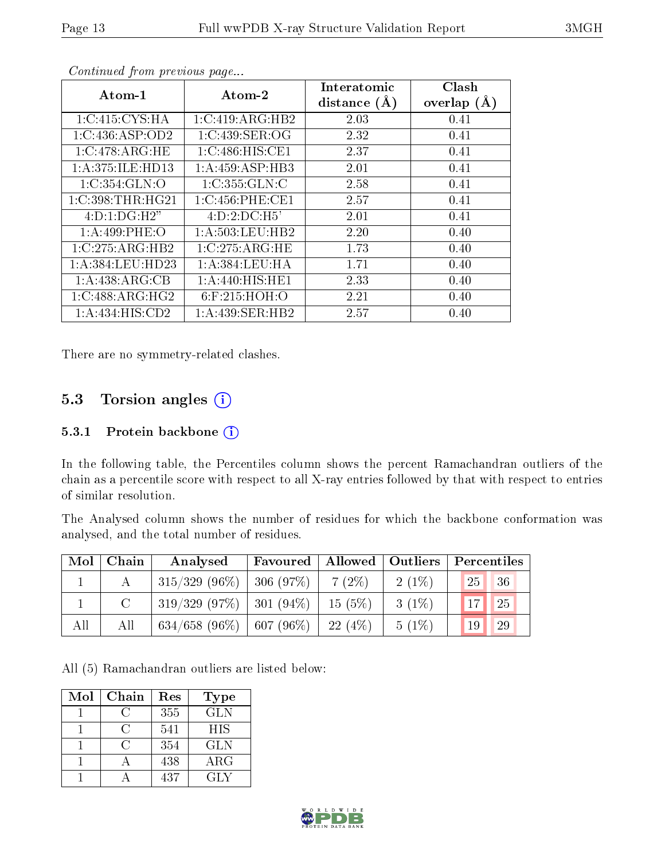| Atom-1           | Atom-2              | Interatomic    | Clash         |
|------------------|---------------------|----------------|---------------|
|                  |                     | distance $(A)$ | overlap $(A)$ |
| 1:C:415:CYS:HA   | 1:C:419:ARG:HB2     | 2.03           | 0.41          |
| 1:C:436:ASP:OD2  | 1:C:439:SER:OG      | 2.32           | 0.41          |
| 1:C:478:ARG:HE   | 1:C:486:HIS:CE1     | 2.37           | 0.41          |
| 1:A:375:ILE:HD13 | 1:A:459:ASP:HB3     | 2.01           | 0.41          |
| 1:C:354:GLN:O    | 1:C:355:GLN:C       | 2.58           | 0.41          |
| 1:C:398:THR:HG21 | 1:C:456:PHE:CE1     | 2.57           | 0.41          |
| 4:D:1:DG:H2"     | $4:D:2:D\\C:H5'$    | 2.01           | 0.41          |
| 1: A:499: PHE:O  | 1: A: 503: LEU: HB2 | 2.20           | 0.40          |
| 1:C:275:ARG:HB2  | 1:C:275:ARG:HE      | 1.73           | 0.40          |
| 1:A:384:LEU:HD23 | 1: A: 384: LEU: HA  | 1.71           | 0.40          |
| 1:A:438:ARG:CB   | 1: A:440: HIS: HE1  | 2.33           | 0.40          |
| 1:C:488:ARG:HG2  | 6:F:215:HOH:O       | 2.21           | 0.40          |
| 1:A:434:HIS:CD2  | 1: A: 439: SER: HB2 | 2.57           | 0.40          |

Continued from previous page...

There are no symmetry-related clashes.

### 5.3 Torsion angles  $(i)$

#### 5.3.1 Protein backbone (i)

In the following table, the Percentiles column shows the percent Ramachandran outliers of the chain as a percentile score with respect to all X-ray entries followed by that with respect to entries of similar resolution.

The Analysed column shows the number of residues for which the backbone conformation was analysed, and the total number of residues.

| Mol | Chain | Analysed                      | Favoured       | Allowed   Outliers |          | Percentiles        |
|-----|-------|-------------------------------|----------------|--------------------|----------|--------------------|
|     |       | $315/329$ (96\%)   306 (97\%) |                | $7(2\%)$           | $2(1\%)$ | 25 <br>36          |
|     |       | $319/329$ (97\%)   301 (94\%) |                | 15(5%)             | $3(1\%)$ | 17 <br>$\sqrt{25}$ |
| All | All   | 634/658 $(96\%)$              | $  607 (96\%)$ | 22(4%)             | $5(1\%)$ | 29<br>19           |

All (5) Ramachandran outliers are listed below:

| Mol | Chain | Res | <b>Type</b> |
|-----|-------|-----|-------------|
|     |       | 355 | <b>GLN</b>  |
|     | 0     | 541 | <b>HIS</b>  |
|     | ( )   | 354 | <b>GLN</b>  |
|     |       | 438 | $\rm{ARG}$  |
|     |       | 437 | GLY         |

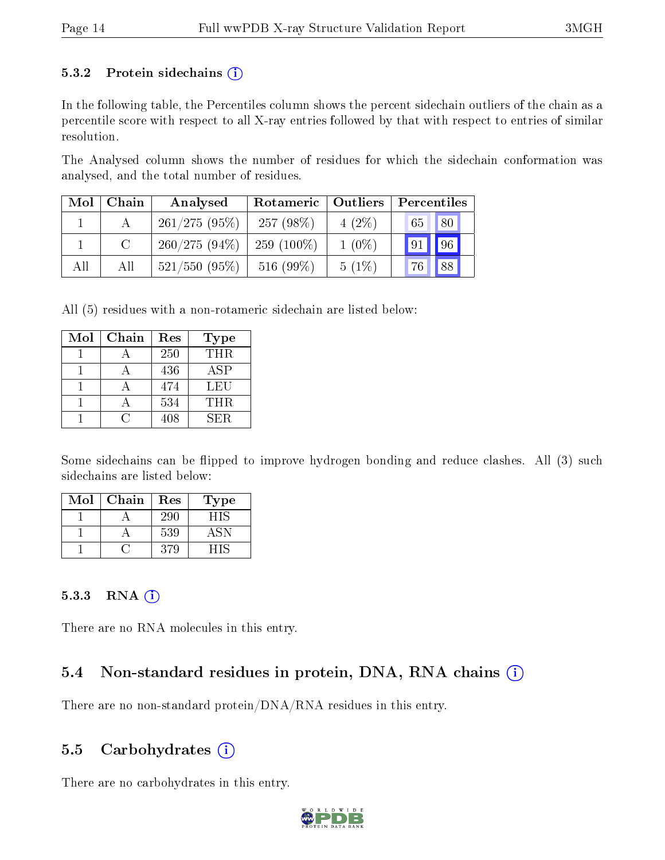#### 5.3.2 Protein sidechains  $(i)$

In the following table, the Percentiles column shows the percent sidechain outliers of the chain as a percentile score with respect to all X-ray entries followed by that with respect to entries of similar resolution.

The Analysed column shows the number of residues for which the sidechain conformation was analysed, and the total number of residues.

| Mol | Chain  | Analysed        | Rotameric     | Outliers | Percentiles |  |
|-----|--------|-----------------|---------------|----------|-------------|--|
|     |        | $261/275(95\%)$ | $257(98\%)$   | $4(2\%)$ | 80 <br>65   |  |
|     | $\cap$ | $260/275(94\%)$ | 259 $(100\%)$ | $1(0\%)$ | 96 <br> 91  |  |
| All | All    | $521/550$ (95%) | 516 $(99\%)$  | $5(1\%)$ | 88<br>76    |  |

All (5) residues with a non-rotameric sidechain are listed below:

| Mol | Chain | Res | Type |
|-----|-------|-----|------|
|     |       | 250 | THR. |
|     |       | 436 | ASP  |
|     |       | 474 | LEU  |
|     |       | 534 | THR. |
|     |       | 408 | SER. |

Some sidechains can be flipped to improve hydrogen bonding and reduce clashes. All (3) such sidechains are listed below:

| Mol | Chain | Res | Type |
|-----|-------|-----|------|
|     |       | 290 | ᅴᄓ   |
|     |       | 539 |      |
|     |       | 379 |      |

#### $5.3.3$  RNA  $(i)$

There are no RNA molecules in this entry.

#### 5.4 Non-standard residues in protein, DNA, RNA chains  $(i)$

There are no non-standard protein/DNA/RNA residues in this entry.

#### 5.5 Carbohydrates  $(i)$

There are no carbohydrates in this entry.

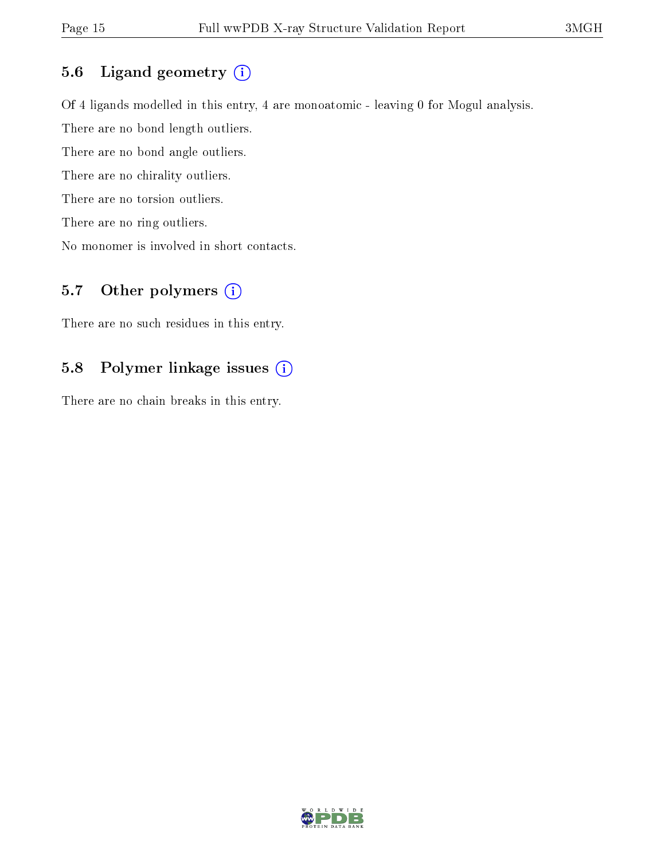### 5.6 Ligand geometry (i)

Of 4 ligands modelled in this entry, 4 are monoatomic - leaving 0 for Mogul analysis. There are no bond length outliers. There are no bond angle outliers. There are no chirality outliers. There are no torsion outliers. There are no ring outliers.

No monomer is involved in short contacts.

### 5.7 [O](https://www.wwpdb.org/validation/2017/XrayValidationReportHelp#nonstandard_residues_and_ligands)ther polymers (i)

There are no such residues in this entry.

#### 5.8 Polymer linkage issues (i)

There are no chain breaks in this entry.

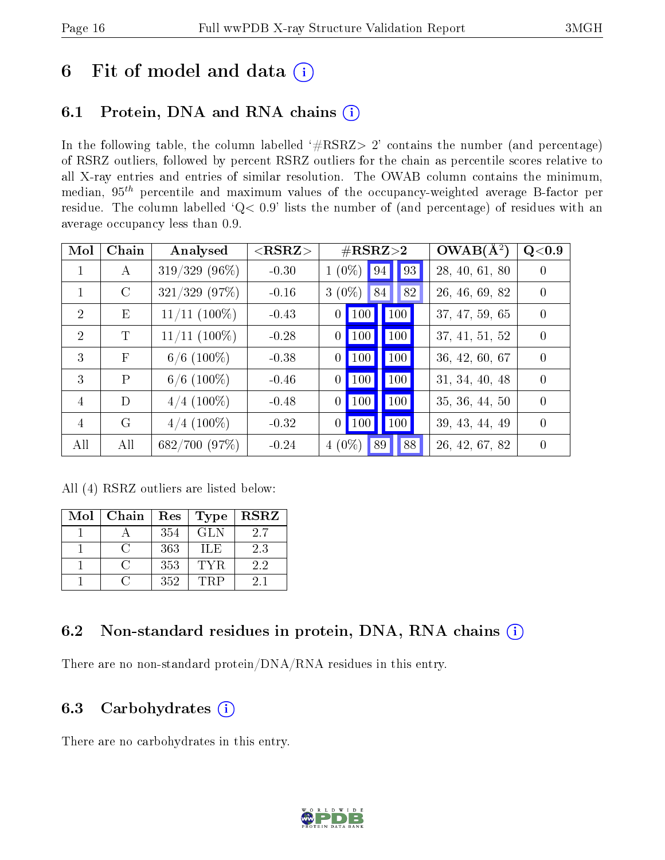## 6 Fit of model and data  $(i)$

### 6.1 Protein, DNA and RNA chains  $(i)$

In the following table, the column labelled  $#RSRZ> 2'$  contains the number (and percentage) of RSRZ outliers, followed by percent RSRZ outliers for the chain as percentile scores relative to all X-ray entries and entries of similar resolution. The OWAB column contains the minimum, median,  $95<sup>th</sup>$  percentile and maximum values of the occupancy-weighted average B-factor per residue. The column labelled ' $Q< 0.9$ ' lists the number of (and percentage) of residues with an average occupancy less than 0.9.

| Mol            | Chain        | Analysed          | ${ <\hspace{-1.5pt}{\mathrm{RSRZ}} \hspace{-1.5pt}>}$ | $\#\text{RSRZ}{>}2$                 | $OWAB(A^2)$    | Q<0.9            |
|----------------|--------------|-------------------|-------------------------------------------------------|-------------------------------------|----------------|------------------|
| 1              | $\mathbf{A}$ | $319/329(96\%)$   | $-0.30$                                               | 93<br>$(0\%)$<br>$\mathbf{1}$<br>94 | 28, 40, 61, 80 | $\left( \right)$ |
| $\mathbf{1}$   | $\rm C$      | $321/329$ (97%)   | $-0.16$                                               | $3(0\%)$<br>82<br>84                | 26, 46, 69, 82 | $\Omega$         |
| $\overline{2}$ | E            | $11/11$ $(100\%)$ | $-0.43$                                               | 100<br>100<br>0                     | 37, 47, 59, 65 | $\Omega$         |
| $\overline{2}$ | T            | $11/11$ $(100\%)$ | $-0.28$                                               | <b>100</b><br>100<br>$\overline{0}$ | 37, 41, 51, 52 | $\Omega$         |
| 3              | $\mathbf{F}$ | $6/6$ (100\%)     | $-0.38$                                               | 100<br>100<br>0                     | 36, 42, 60, 67 | $\Omega$         |
| 3              | $\mathbf{P}$ | $6/6$ (100\%)     | $-0.46$                                               | 100<br>100<br>$\left( \right)$      | 31, 34, 40, 48 | $\Omega$         |
| $\overline{4}$ | D            | $4/4$ (100\%)     | $-0.48$                                               | 100<br>100<br>0                     | 35, 36, 44, 50 | $\Omega$         |
| $\overline{4}$ | G            | $4/4$ (100\%)     | $-0.32$                                               | 100<br>100<br>$\overline{0}$        | 39, 43, 44, 49 | $\theta$         |
| All            | All          | 682/700 (97%)     | $-0.24$                                               | 88<br>$4(0\%)$<br>89                | 26, 42, 67, 82 | $\theta$         |

All (4) RSRZ outliers are listed below:

| Mol | Chain | Res | Type       | <b>RSRZ</b> |
|-----|-------|-----|------------|-------------|
|     |       | 354 | <b>GLN</b> | 2.7         |
|     |       | 363 | ШE         | 2.3         |
|     |       | 353 | TYR        | 2.2         |
|     |       | 352 | TRP        | 2.1         |

### 6.2 Non-standard residues in protein, DNA, RNA chains (i)

There are no non-standard protein/DNA/RNA residues in this entry.

#### 6.3 Carbohydrates (i)

There are no carbohydrates in this entry.